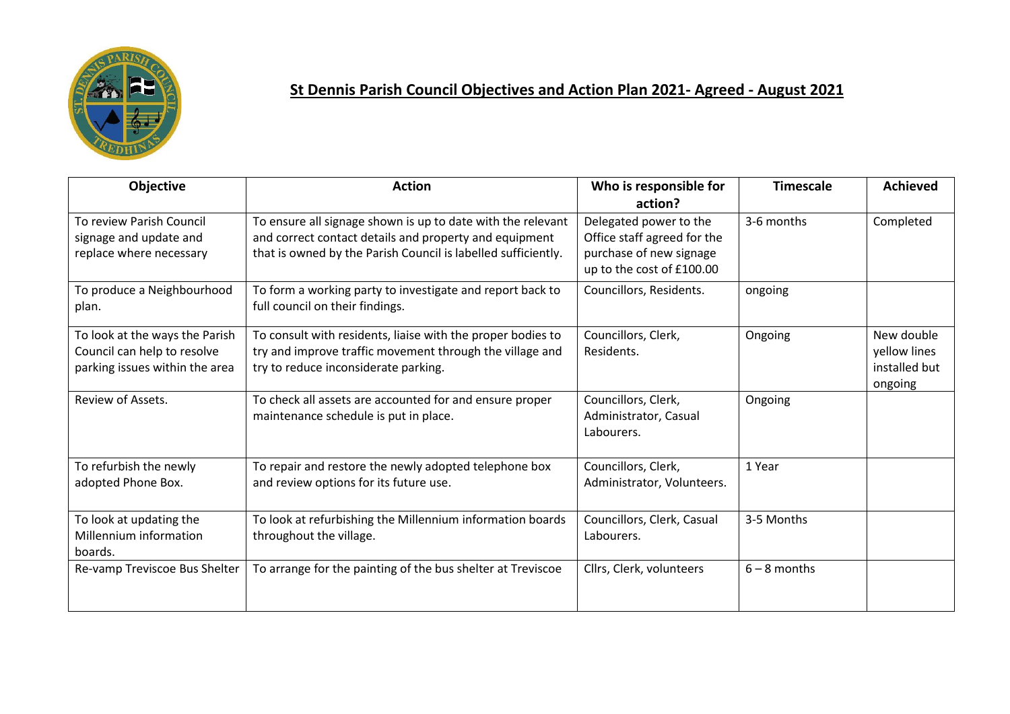

## **St Dennis Parish Council Objectives and Action Plan 2021- Agreed - August 2021**

| Objective                                                                                       | <b>Action</b>                                                                                                                                                                          | Who is responsible for                                                                                                   | <b>Timescale</b> | <b>Achieved</b>                                        |
|-------------------------------------------------------------------------------------------------|----------------------------------------------------------------------------------------------------------------------------------------------------------------------------------------|--------------------------------------------------------------------------------------------------------------------------|------------------|--------------------------------------------------------|
| To review Parish Council<br>signage and update and<br>replace where necessary                   | To ensure all signage shown is up to date with the relevant<br>and correct contact details and property and equipment<br>that is owned by the Parish Council is labelled sufficiently. | action?<br>Delegated power to the<br>Office staff agreed for the<br>purchase of new signage<br>up to the cost of £100.00 | 3-6 months       | Completed                                              |
| To produce a Neighbourhood<br>plan.                                                             | To form a working party to investigate and report back to<br>full council on their findings.                                                                                           | Councillors, Residents.                                                                                                  | ongoing          |                                                        |
| To look at the ways the Parish<br>Council can help to resolve<br>parking issues within the area | To consult with residents, liaise with the proper bodies to<br>try and improve traffic movement through the village and<br>try to reduce inconsiderate parking.                        | Councillors, Clerk,<br>Residents.                                                                                        | Ongoing          | New double<br>yellow lines<br>installed but<br>ongoing |
| Review of Assets.                                                                               | To check all assets are accounted for and ensure proper<br>maintenance schedule is put in place.                                                                                       | Councillors, Clerk,<br>Administrator, Casual<br>Labourers.                                                               | Ongoing          |                                                        |
| To refurbish the newly<br>adopted Phone Box.                                                    | To repair and restore the newly adopted telephone box<br>and review options for its future use.                                                                                        | Councillors, Clerk,<br>Administrator, Volunteers.                                                                        | 1 Year           |                                                        |
| To look at updating the<br>Millennium information<br>boards.                                    | To look at refurbishing the Millennium information boards<br>throughout the village.                                                                                                   | Councillors, Clerk, Casual<br>Labourers.                                                                                 | 3-5 Months       |                                                        |
| Re-vamp Treviscoe Bus Shelter                                                                   | To arrange for the painting of the bus shelter at Treviscoe                                                                                                                            | Cllrs, Clerk, volunteers                                                                                                 | $6 - 8$ months   |                                                        |